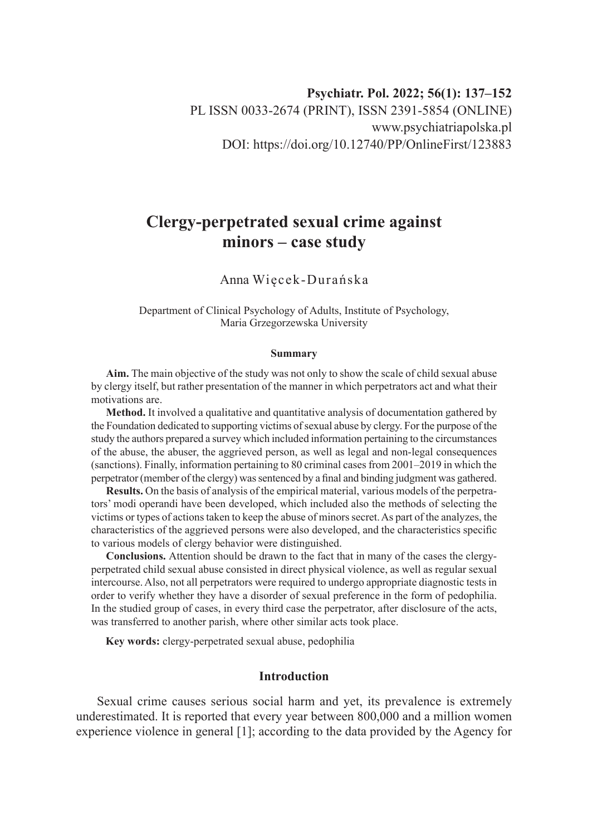# **Clergy-perpetrated sexual crime against minors – case study**

# Anna Więcek-Durańska

Department of Clinical Psychology of Adults, Institute of Psychology, Maria Grzegorzewska University

#### **Summary**

**Aim.** The main objective of the study was not only to show the scale of child sexual abuse by clergy itself, but rather presentation of the manner in which perpetrators act and what their motivations are.

**Method.** It involved a qualitative and quantitative analysis of documentation gathered by the Foundation dedicated to supporting victims of sexual abuse by clergy. For the purpose of the study the authors prepared a survey which included information pertaining to the circumstances of the abuse, the abuser, the aggrieved person, as well as legal and non-legal consequences (sanctions). Finally, information pertaining to 80 criminal cases from 2001–2019 in which the perpetrator (member of the clergy) was sentenced by a final and binding judgment was gathered.

**Results.** On the basis of analysis of the empirical material, various models of the perpetrators' modi operandi have been developed, which included also the methods of selecting the victims or types of actions taken to keep the abuse of minors secret. As part of the analyzes, the characteristics of the aggrieved persons were also developed, and the characteristics specific to various models of clergy behavior were distinguished.

**Conclusions.** Attention should be drawn to the fact that in many of the cases the clergyperpetrated child sexual abuse consisted in direct physical violence, as well as regular sexual intercourse. Also, not all perpetrators were required to undergo appropriate diagnostic tests in order to verify whether they have a disorder of sexual preference in the form of pedophilia. In the studied group of cases, in every third case the perpetrator, after disclosure of the acts, was transferred to another parish, where other similar acts took place.

**Key words:** clergy-perpetrated sexual abuse, pedophilia

# **Introduction**

Sexual crime causes serious social harm and yet, its prevalence is extremely underestimated. It is reported that every year between 800,000 and a million women experience violence in general [1]; according to the data provided by the Agency for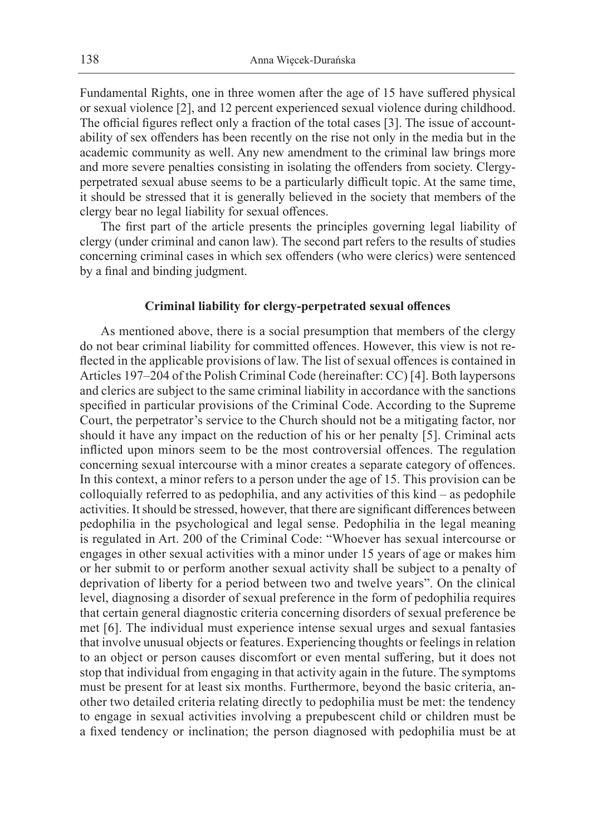Fundamental Rights, one in three women after the age of 15 have suffered physical or sexual violence [2], and 12 percent experienced sexual violence during childhood. The official figures reflect only a fraction of the total cases [3]. The issue of accountability of sex offenders has been recently on the rise not only in the media but in the academic community as well. Any new amendment to the criminal law brings more and more severe penalties consisting in isolating the offenders from society. Clergyperpetrated sexual abuse seems to be a particularly difficult topic. At the same time, it should be stressed that it is generally believed in the society that members of the clergy bear no legal liability for sexual offences.

The first part of the article presents the principles governing legal liability of clergy (under criminal and canon law). The second part refers to the results of studies concerning criminal cases in which sex offenders (who were clerics) were sentenced by a final and binding judgment.

#### **Criminal liability for clergy-perpetrated sexual offences**

As mentioned above, there is a social presumption that members of the clergy do not bear criminal liability for committed offences. However, this view is not reflected in the applicable provisions of law. The list of sexual offences is contained in Articles 197–204 of the Polish Criminal Code (hereinafter: CC) [4]. Both laypersons and clerics are subject to the same criminal liability in accordance with the sanctions specified in particular provisions of the Criminal Code. According to the Supreme Court, the perpetrator's service to the Church should not be a mitigating factor, nor should it have any impact on the reduction of his or her penalty [5]. Criminal acts inflicted upon minors seem to be the most controversial offences. The regulation concerning sexual intercourse with a minor creates a separate category of offences. In this context, a minor refers to a person under the age of 15. This provision can be colloquially referred to as pedophilia, and any activities of this kind – as pedophile activities. It should be stressed, however, that there are significant differences between pedophilia in the psychological and legal sense. Pedophilia in the legal meaning is regulated in Art. 200 of the Criminal Code: "Whoever has sexual intercourse or engages in other sexual activities with a minor under 15 years of age or makes him or her submit to or perform another sexual activity shall be subject to a penalty of deprivation of liberty for a period between two and twelve years". On the clinical level, diagnosing a disorder of sexual preference in the form of pedophilia requires that certain general diagnostic criteria concerning disorders of sexual preference be met [6]. The individual must experience intense sexual urges and sexual fantasies that involve unusual objects or features. Experiencing thoughts or feelings in relation to an object or person causes discomfort or even mental suffering, but it does not stop that individual from engaging in that activity again in the future. The symptoms must be present for at least six months. Furthermore, beyond the basic criteria, another two detailed criteria relating directly to pedophilia must be met: the tendency to engage in sexual activities involving a prepubescent child or children must be a fixed tendency or inclination; the person diagnosed with pedophilia must be at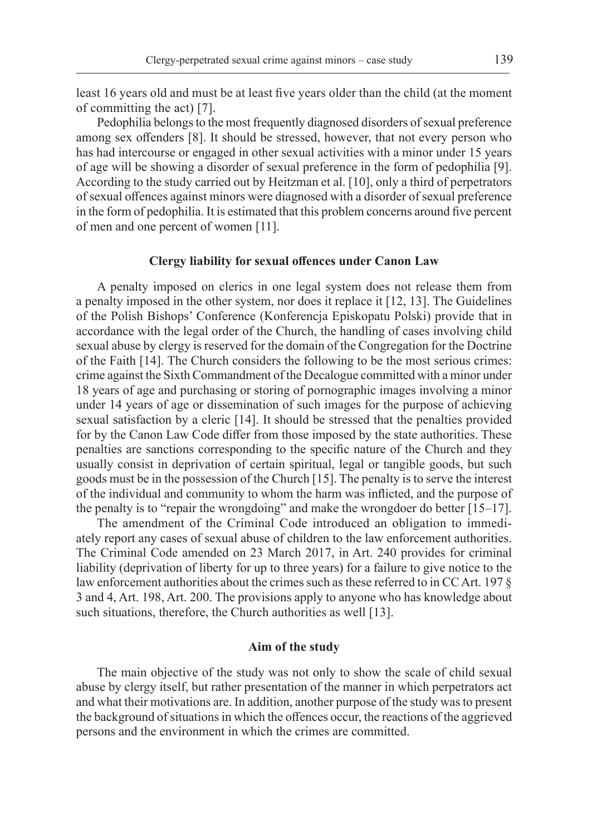least 16 years old and must be at least five years older than the child (at the moment of committing the act) [7].

Pedophilia belongs to the most frequently diagnosed disorders of sexual preference among sex offenders [8]. It should be stressed, however, that not every person who has had intercourse or engaged in other sexual activities with a minor under 15 years of age will be showing a disorder of sexual preference in the form of pedophilia [9]. According to the study carried out by Heitzman et al. [10], only a third of perpetrators of sexual offences against minors were diagnosed with a disorder of sexual preference in the form of pedophilia. It is estimated that this problem concerns around five percent of men and one percent of women [11].

#### **Clergy liability for sexual offences under Canon Law**

A penalty imposed on clerics in one legal system does not release them from a penalty imposed in the other system, nor does it replace it [12, 13]. The Guidelines of the Polish Bishops' Conference (Konferencja Episkopatu Polski) provide that in accordance with the legal order of the Church, the handling of cases involving child sexual abuse by clergy is reserved for the domain of the Congregation for the Doctrine of the Faith [14]. The Church considers the following to be the most serious crimes: crime against the Sixth Commandment of the Decalogue committed with a minor under 18 years of age and purchasing or storing of pornographic images involving a minor under 14 years of age or dissemination of such images for the purpose of achieving sexual satisfaction by a cleric [14]. It should be stressed that the penalties provided for by the Canon Law Code differ from those imposed by the state authorities. These penalties are sanctions corresponding to the specific nature of the Church and they usually consist in deprivation of certain spiritual, legal or tangible goods, but such goods must be in the possession of the Church [15]. The penalty is to serve the interest of the individual and community to whom the harm was inflicted, and the purpose of the penalty is to "repair the wrongdoing" and make the wrongdoer do better [15–17].

The amendment of the Criminal Code introduced an obligation to immediately report any cases of sexual abuse of children to the law enforcement authorities. The Criminal Code amended on 23 March 2017, in Art. 240 provides for criminal liability (deprivation of liberty for up to three years) for a failure to give notice to the law enforcement authorities about the crimes such as these referred to in CC Art. 197 § 3 and 4, Art. 198, Art. 200. The provisions apply to anyone who has knowledge about such situations, therefore, the Church authorities as well [13].

#### **Aim of the study**

The main objective of the study was not only to show the scale of child sexual abuse by clergy itself, but rather presentation of the manner in which perpetrators act and what their motivations are. In addition, another purpose of the study was to present the background of situations in which the offences occur, the reactions of the aggrieved persons and the environment in which the crimes are committed.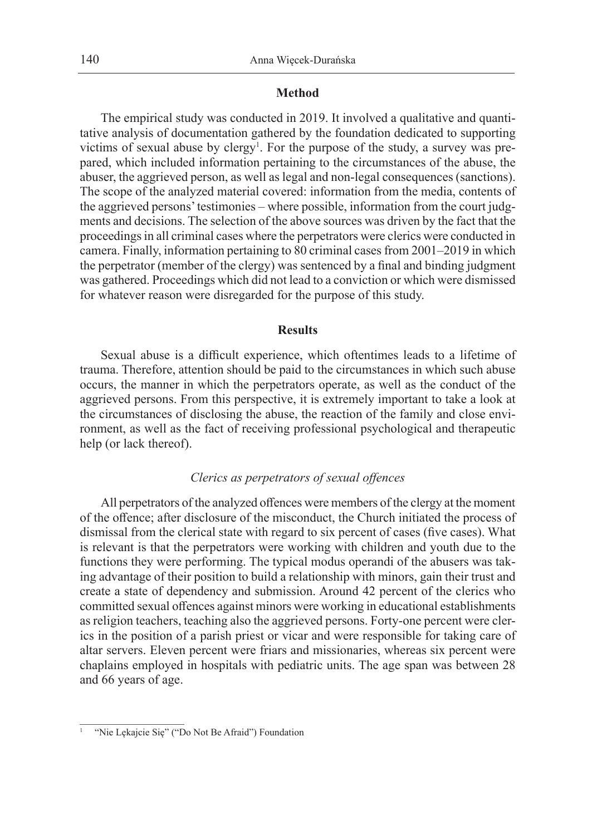#### **Method**

The empirical study was conducted in 2019. It involved a qualitative and quantitative analysis of documentation gathered by the foundation dedicated to supporting victims of sexual abuse by clergy<sup>1</sup>. For the purpose of the study, a survey was prepared, which included information pertaining to the circumstances of the abuse, the abuser, the aggrieved person, as well as legal and non-legal consequences (sanctions). The scope of the analyzed material covered: information from the media, contents of the aggrieved persons' testimonies – where possible, information from the court judgments and decisions. The selection of the above sources was driven by the fact that the proceedings in all criminal cases where the perpetrators were clerics were conducted in camera. Finally, information pertaining to 80 criminal cases from 2001–2019 in which the perpetrator (member of the clergy) was sentenced by a final and binding judgment was gathered. Proceedings which did not lead to a conviction or which were dismissed for whatever reason were disregarded for the purpose of this study.

#### **Results**

Sexual abuse is a difficult experience, which oftentimes leads to a lifetime of trauma. Therefore, attention should be paid to the circumstances in which such abuse occurs, the manner in which the perpetrators operate, as well as the conduct of the aggrieved persons. From this perspective, it is extremely important to take a look at the circumstances of disclosing the abuse, the reaction of the family and close environment, as well as the fact of receiving professional psychological and therapeutic help (or lack thereof).

#### *Clerics as perpetrators of sexual offences*

All perpetrators of the analyzed offences were members of the clergy at the moment of the offence; after disclosure of the misconduct, the Church initiated the process of dismissal from the clerical state with regard to six percent of cases (five cases). What is relevant is that the perpetrators were working with children and youth due to the functions they were performing. The typical modus operandi of the abusers was taking advantage of their position to build a relationship with minors, gain their trust and create a state of dependency and submission. Around 42 percent of the clerics who committed sexual offences against minors were working in educational establishments as religion teachers, teaching also the aggrieved persons. Forty-one percent were clerics in the position of a parish priest or vicar and were responsible for taking care of altar servers. Eleven percent were friars and missionaries, whereas six percent were chaplains employed in hospitals with pediatric units. The age span was between 28 and 66 years of age.

<sup>&</sup>quot;Nie Lękajcie Się" ("Do Not Be Afraid") Foundation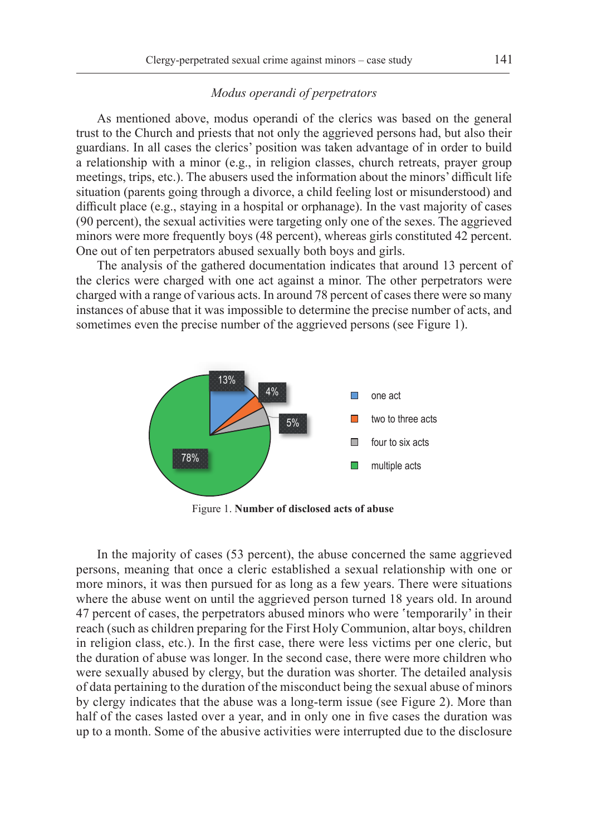#### *Modus operandi of perpetrators*

As mentioned above, modus operandi of the clerics was based on the general trust to the Church and priests that not only the aggrieved persons had, but also their guardians. In all cases the clerics' position was taken advantage of in order to build a relationship with a minor (e.g., in religion classes, church retreats, prayer group meetings, trips, etc.). The abusers used the information about the minors' difficult life situation (parents going through a divorce, a child feeling lost or misunderstood) and difficult place (e.g., staying in a hospital or orphanage). In the vast majority of cases (90 percent), the sexual activities were targeting only one of the sexes. The aggrieved minors were more frequently boys (48 percent), whereas girls constituted 42 percent. One out of ten perpetrators abused sexually both boys and girls.

The analysis of the gathered documentation indicates that around 13 percent of the clerics were charged with one act against a minor. The other perpetrators were charged with a range of various acts. In around 78 percent of cases there were so many instances of abuse that it was impossible to determine the precise number of acts, and sometimes even the precise number of the aggrieved persons (see Figure 1).



Figure 1. **Number of disclosed acts of abuse**

In the majority of cases (53 percent), the abuse concerned the same aggrieved persons, meaning that once a cleric established a sexual relationship with one or more minors, it was then pursued for as long as a few years. There were situations where the abuse went on until the aggrieved person turned 18 years old. In around 47 percent of cases, the perpetrators abused minors who were 'temporarily' in their reach (such as children preparing for the First Holy Communion, altar boys, children in religion class, etc.). In the first case, there were less victims per one cleric, but the duration of abuse was longer. In the second case, there were more children who were sexually abused by clergy, but the duration was shorter. The detailed analysis of data pertaining to the duration of the misconduct being the sexual abuse of minors by clergy indicates that the abuse was a long-term issue (see Figure 2). More than half of the cases lasted over a year, and in only one in five cases the duration was up to a month. Some of the abusive activities were interrupted due to the disclosure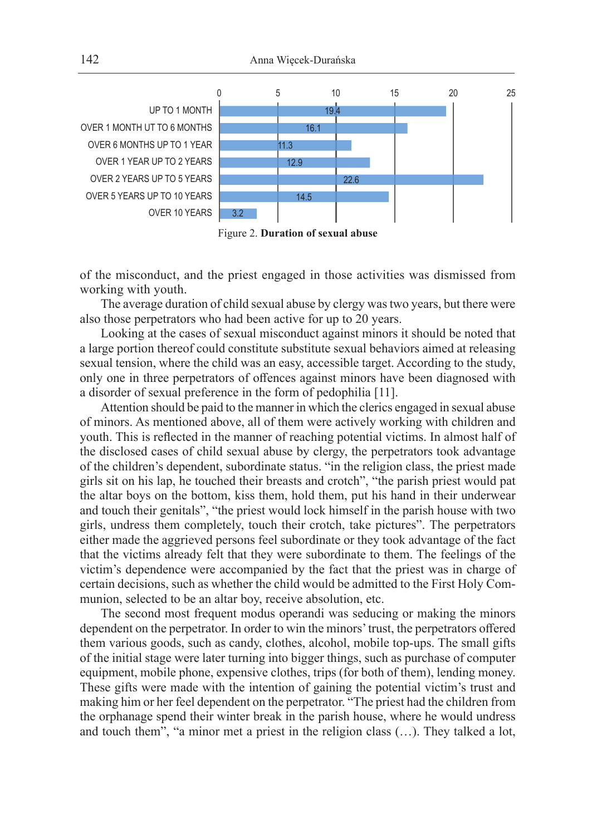

Figure 2. **Duration of sexual abuse**

of the misconduct, and the priest engaged in those activities was dismissed from working with youth.

The average duration of child sexual abuse by clergy was two years, but there were also those perpetrators who had been active for up to 20 years.

Looking at the cases of sexual misconduct against minors it should be noted that a large portion thereof could constitute substitute sexual behaviors aimed at releasing sexual tension, where the child was an easy, accessible target. According to the study, only one in three perpetrators of offences against minors have been diagnosed with a disorder of sexual preference in the form of pedophilia [11].

Attention should be paid to the manner in which the clerics engaged in sexual abuse of minors. As mentioned above, all of them were actively working with children and youth. This is reflected in the manner of reaching potential victims. In almost half of the disclosed cases of child sexual abuse by clergy, the perpetrators took advantage of the children's dependent, subordinate status. "in the religion class, the priest made girls sit on his lap, he touched their breasts and crotch", "the parish priest would pat the altar boys on the bottom, kiss them, hold them, put his hand in their underwear and touch their genitals", "the priest would lock himself in the parish house with two girls, undress them completely, touch their crotch, take pictures". The perpetrators either made the aggrieved persons feel subordinate or they took advantage of the fact that the victims already felt that they were subordinate to them. The feelings of the victim's dependence were accompanied by the fact that the priest was in charge of certain decisions, such as whether the child would be admitted to the First Holy Communion, selected to be an altar boy, receive absolution, etc.

The second most frequent modus operandi was seducing or making the minors dependent on the perpetrator. In order to win the minors' trust, the perpetrators offered them various goods, such as candy, clothes, alcohol, mobile top-ups. The small gifts of the initial stage were later turning into bigger things, such as purchase of computer equipment, mobile phone, expensive clothes, trips (for both of them), lending money. These gifts were made with the intention of gaining the potential victim's trust and making him or her feel dependent on the perpetrator. "The priest had the children from the orphanage spend their winter break in the parish house, where he would undress and touch them", "a minor met a priest in the religion class (…). They talked a lot,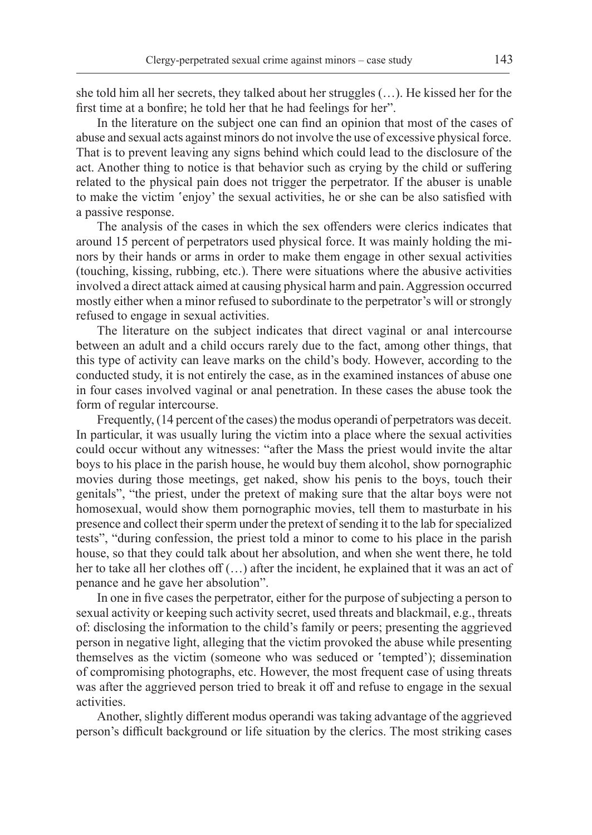she told him all her secrets, they talked about her struggles (…). He kissed her for the first time at a bonfire; he told her that he had feelings for her".

In the literature on the subject one can find an opinion that most of the cases of abuse and sexual acts against minors do not involve the use of excessive physical force. That is to prevent leaving any signs behind which could lead to the disclosure of the act. Another thing to notice is that behavior such as crying by the child or suffering related to the physical pain does not trigger the perpetrator. If the abuser is unable to make the victim 'enjoy' the sexual activities, he or she can be also satisfied with a passive response.

The analysis of the cases in which the sex offenders were clerics indicates that around 15 percent of perpetrators used physical force. It was mainly holding the minors by their hands or arms in order to make them engage in other sexual activities (touching, kissing, rubbing, etc.). There were situations where the abusive activities involved a direct attack aimed at causing physical harm and pain. Aggression occurred mostly either when a minor refused to subordinate to the perpetrator's will or strongly refused to engage in sexual activities.

The literature on the subject indicates that direct vaginal or anal intercourse between an adult and a child occurs rarely due to the fact, among other things, that this type of activity can leave marks on the child's body. However, according to the conducted study, it is not entirely the case, as in the examined instances of abuse one in four cases involved vaginal or anal penetration. In these cases the abuse took the form of regular intercourse.

Frequently, (14 percent of the cases) the modus operandi of perpetrators was deceit. In particular, it was usually luring the victim into a place where the sexual activities could occur without any witnesses: "after the Mass the priest would invite the altar boys to his place in the parish house, he would buy them alcohol, show pornographic movies during those meetings, get naked, show his penis to the boys, touch their genitals", "the priest, under the pretext of making sure that the altar boys were not homosexual, would show them pornographic movies, tell them to masturbate in his presence and collect their sperm under the pretext of sending it to the lab for specialized tests", "during confession, the priest told a minor to come to his place in the parish house, so that they could talk about her absolution, and when she went there, he told her to take all her clothes off (…) after the incident, he explained that it was an act of penance and he gave her absolution".

In one in five cases the perpetrator, either for the purpose of subjecting a person to sexual activity or keeping such activity secret, used threats and blackmail, e.g., threats of: disclosing the information to the child's family or peers; presenting the aggrieved person in negative light, alleging that the victim provoked the abuse while presenting themselves as the victim (someone who was seduced or 'tempted'); dissemination of compromising photographs, etc. However, the most frequent case of using threats was after the aggrieved person tried to break it off and refuse to engage in the sexual activities.

Another, slightly different modus operandi was taking advantage of the aggrieved person's difficult background or life situation by the clerics. The most striking cases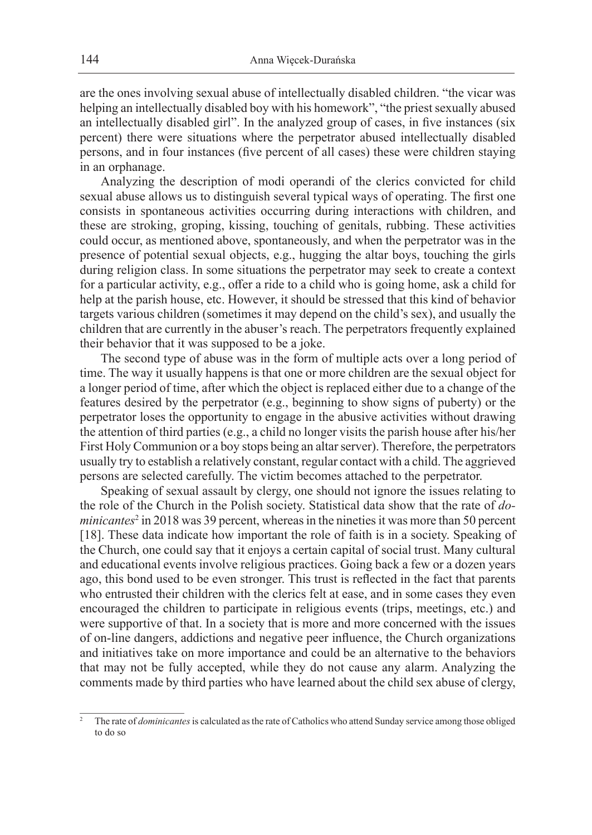are the ones involving sexual abuse of intellectually disabled children. "the vicar was helping an intellectually disabled boy with his homework", "the priest sexually abused an intellectually disabled girl". In the analyzed group of cases, in five instances (six percent) there were situations where the perpetrator abused intellectually disabled persons, and in four instances (five percent of all cases) these were children staying in an orphanage.

Analyzing the description of modi operandi of the clerics convicted for child sexual abuse allows us to distinguish several typical ways of operating. The first one consists in spontaneous activities occurring during interactions with children, and these are stroking, groping, kissing, touching of genitals, rubbing. These activities could occur, as mentioned above, spontaneously, and when the perpetrator was in the presence of potential sexual objects, e.g., hugging the altar boys, touching the girls during religion class. In some situations the perpetrator may seek to create a context for a particular activity, e.g., offer a ride to a child who is going home, ask a child for help at the parish house, etc. However, it should be stressed that this kind of behavior targets various children (sometimes it may depend on the child's sex), and usually the children that are currently in the abuser's reach. The perpetrators frequently explained their behavior that it was supposed to be a joke.

The second type of abuse was in the form of multiple acts over a long period of time. The way it usually happens is that one or more children are the sexual object for a longer period of time, after which the object is replaced either due to a change of the features desired by the perpetrator (e.g., beginning to show signs of puberty) or the perpetrator loses the opportunity to engage in the abusive activities without drawing the attention of third parties (e.g., a child no longer visits the parish house after his/her First Holy Communion or a boy stops being an altar server). Therefore, the perpetrators usually try to establish a relatively constant, regular contact with a child. The aggrieved persons are selected carefully. The victim becomes attached to the perpetrator.

Speaking of sexual assault by clergy, one should not ignore the issues relating to the role of the Church in the Polish society. Statistical data show that the rate of *do*minicantes<sup>2</sup> in 2018 was 39 percent, whereas in the nineties it was more than 50 percent [18]. These data indicate how important the role of faith is in a society. Speaking of the Church, one could say that it enjoys a certain capital of social trust. Many cultural and educational events involve religious practices. Going back a few or a dozen years ago, this bond used to be even stronger. This trust is reflected in the fact that parents who entrusted their children with the clerics felt at ease, and in some cases they even encouraged the children to participate in religious events (trips, meetings, etc.) and were supportive of that. In a society that is more and more concerned with the issues of on-line dangers, addictions and negative peer influence, the Church organizations and initiatives take on more importance and could be an alternative to the behaviors that may not be fully accepted, while they do not cause any alarm. Analyzing the comments made by third parties who have learned about the child sex abuse of clergy,

<sup>2</sup> The rate of *dominicantes* is calculated as the rate of Catholics who attend Sunday service among those obliged to do so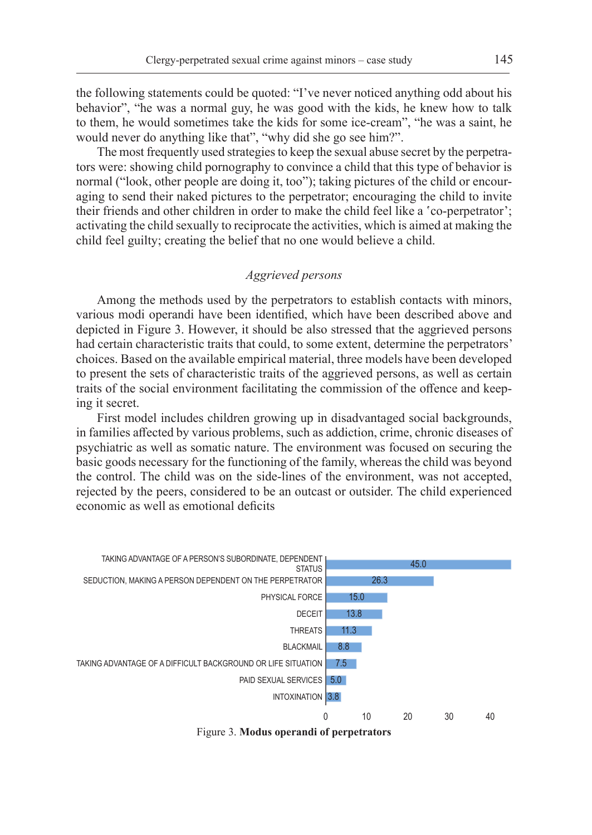the following statements could be quoted: "I've never noticed anything odd about his behavior", "he was a normal guy, he was good with the kids, he knew how to talk to them, he would sometimes take the kids for some ice-cream", "he was a saint, he would never do anything like that", "why did she go see him?".

The most frequently used strategies to keep the sexual abuse secret by the perpetrators were: showing child pornography to convince a child that this type of behavior is normal ("look, other people are doing it, too"); taking pictures of the child or encouraging to send their naked pictures to the perpetrator; encouraging the child to invite their friends and other children in order to make the child feel like a 'co-perpetrator'; activating the child sexually to reciprocate the activities, which is aimed at making the child feel guilty; creating the belief that no one would believe a child.

# *Aggrieved persons*

Among the methods used by the perpetrators to establish contacts with minors, various modi operandi have been identified, which have been described above and depicted in Figure 3. However, it should be also stressed that the aggrieved persons had certain characteristic traits that could, to some extent, determine the perpetrators' choices. Based on the available empirical material, three models have been developed to present the sets of characteristic traits of the aggrieved persons, as well as certain traits of the social environment facilitating the commission of the offence and keeping it secret.

First model includes children growing up in disadvantaged social backgrounds, in families affected by various problems, such as addiction, crime, chronic diseases of psychiatric as well as somatic nature. The environment was focused on securing the basic goods necessary for the functioning of the family, whereas the child was beyond the control. The child was on the side-lines of the environment, was not accepted, rejected by the peers, considered to be an outcast or outsider. The child experienced economic as well as emotional deficits



Figure 3. **Modus operandi of perpetrators**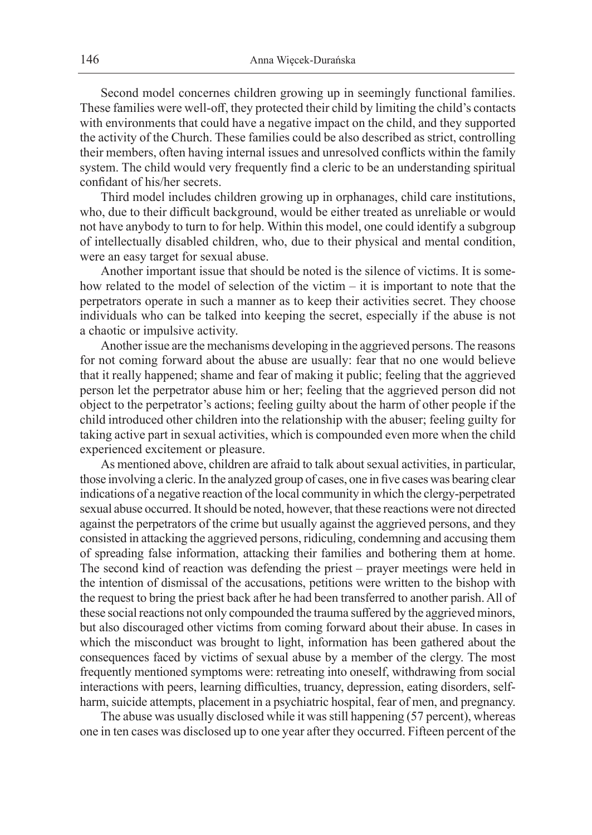Second model concernes children growing up in seemingly functional families. These families were well-off, they protected their child by limiting the child's contacts with environments that could have a negative impact on the child, and they supported the activity of the Church. These families could be also described as strict, controlling their members, often having internal issues and unresolved conflicts within the family system. The child would very frequently find a cleric to be an understanding spiritual confidant of his/her secrets.

Third model includes children growing up in orphanages, child care institutions, who, due to their difficult background, would be either treated as unreliable or would not have anybody to turn to for help. Within this model, one could identify a subgroup of intellectually disabled children, who, due to their physical and mental condition, were an easy target for sexual abuse.

Another important issue that should be noted is the silence of victims. It is somehow related to the model of selection of the victim – it is important to note that the perpetrators operate in such a manner as to keep their activities secret. They choose individuals who can be talked into keeping the secret, especially if the abuse is not a chaotic or impulsive activity.

Another issue are the mechanisms developing in the aggrieved persons. The reasons for not coming forward about the abuse are usually: fear that no one would believe that it really happened; shame and fear of making it public; feeling that the aggrieved person let the perpetrator abuse him or her; feeling that the aggrieved person did not object to the perpetrator's actions; feeling guilty about the harm of other people if the child introduced other children into the relationship with the abuser; feeling guilty for taking active part in sexual activities, which is compounded even more when the child experienced excitement or pleasure.

As mentioned above, children are afraid to talk about sexual activities, in particular, those involving a cleric. In the analyzed group of cases, one in five cases was bearing clear indications of a negative reaction of the local community in which the clergy-perpetrated sexual abuse occurred. It should be noted, however, that these reactions were not directed against the perpetrators of the crime but usually against the aggrieved persons, and they consisted in attacking the aggrieved persons, ridiculing, condemning and accusing them of spreading false information, attacking their families and bothering them at home. The second kind of reaction was defending the priest – prayer meetings were held in the intention of dismissal of the accusations, petitions were written to the bishop with the request to bring the priest back after he had been transferred to another parish. All of these social reactions not only compounded the trauma suffered by the aggrieved minors, but also discouraged other victims from coming forward about their abuse. In cases in which the misconduct was brought to light, information has been gathered about the consequences faced by victims of sexual abuse by a member of the clergy. The most frequently mentioned symptoms were: retreating into oneself, withdrawing from social interactions with peers, learning difficulties, truancy, depression, eating disorders, selfharm, suicide attempts, placement in a psychiatric hospital, fear of men, and pregnancy.

The abuse was usually disclosed while it was still happening (57 percent), whereas one in ten cases was disclosed up to one year after they occurred. Fifteen percent of the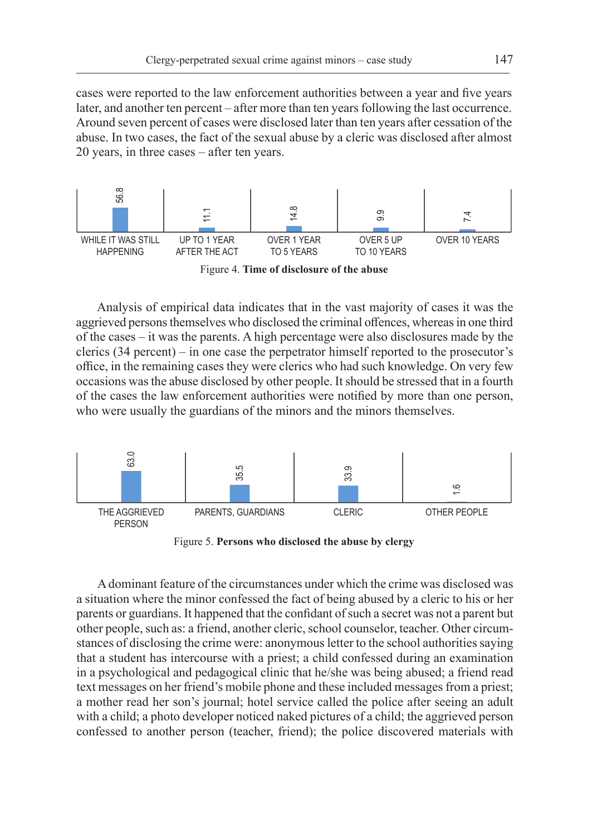cases were reported to the law enforcement authorities between a year and five years later, and another ten percent – after more than ten years following the last occurrence. Around seven percent of cases were disclosed later than ten years after cessation of the abuse. In two cases, the fact of the sexual abuse by a cleric was disclosed after almost 20 years, in three cases – after ten years.



Figure 4. **Time of disclosure of the abuse**

Analysis of empirical data indicates that in the vast majority of cases it was the aggrieved persons themselves who disclosed the criminal offences, whereas in one third of the cases – it was the parents. A high percentage were also disclosures made by the clerics (34 percent) – in one case the perpetrator himself reported to the prosecutor's office, in the remaining cases they were clerics who had such knowledge. On very few occasions was the abuse disclosed by other people. It should be stressed that in a fourth of the cases the law enforcement authorities were notified by more than one person, who were usually the guardians of the minors and the minors themselves.



Figure 5. **Persons who disclosed the abuse by clergy**

A dominant feature of the circumstances under which the crime was disclosed was a situation where the minor confessed the fact of being abused by a cleric to his or her parents or guardians. It happened that the confidant of such a secret was not a parent but other people, such as: a friend, another cleric, school counselor, teacher. Other circumstances of disclosing the crime were: anonymous letter to the school authorities saying that a student has intercourse with a priest; a child confessed during an examination in a psychological and pedagogical clinic that he/she was being abused; a friend read text messages on her friend's mobile phone and these included messages from a priest; a mother read her son's journal; hotel service called the police after seeing an adult with a child; a photo developer noticed naked pictures of a child; the aggrieved person confessed to another person (teacher, friend); the police discovered materials with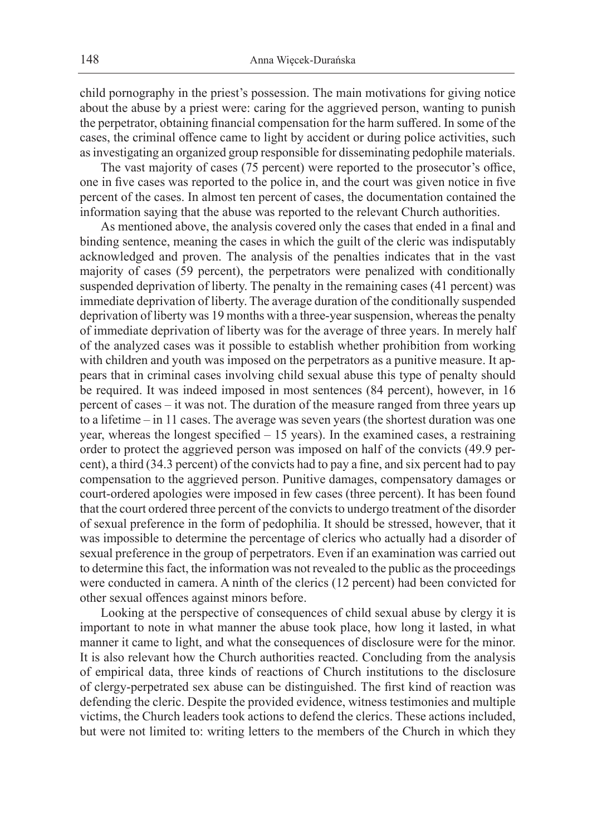child pornography in the priest's possession. The main motivations for giving notice about the abuse by a priest were: caring for the aggrieved person, wanting to punish the perpetrator, obtaining financial compensation for the harm suffered. In some of the cases, the criminal offence came to light by accident or during police activities, such as investigating an organized group responsible for disseminating pedophile materials.

The vast majority of cases (75 percent) were reported to the prosecutor's office, one in five cases was reported to the police in, and the court was given notice in five percent of the cases. In almost ten percent of cases, the documentation contained the information saying that the abuse was reported to the relevant Church authorities.

As mentioned above, the analysis covered only the cases that ended in a final and binding sentence, meaning the cases in which the guilt of the cleric was indisputably acknowledged and proven. The analysis of the penalties indicates that in the vast majority of cases (59 percent), the perpetrators were penalized with conditionally suspended deprivation of liberty. The penalty in the remaining cases (41 percent) was immediate deprivation of liberty. The average duration of the conditionally suspended deprivation of liberty was 19 months with a three-year suspension, whereas the penalty of immediate deprivation of liberty was for the average of three years. In merely half of the analyzed cases was it possible to establish whether prohibition from working with children and youth was imposed on the perpetrators as a punitive measure. It appears that in criminal cases involving child sexual abuse this type of penalty should be required. It was indeed imposed in most sentences (84 percent), however, in 16 percent of cases – it was not. The duration of the measure ranged from three years up to a lifetime – in 11 cases. The average was seven years (the shortest duration was one year, whereas the longest specified – 15 years). In the examined cases, a restraining order to protect the aggrieved person was imposed on half of the convicts (49.9 percent), a third (34.3 percent) of the convicts had to pay a fine, and six percent had to pay compensation to the aggrieved person. Punitive damages, compensatory damages or court-ordered apologies were imposed in few cases (three percent). It has been found that the court ordered three percent of the convicts to undergo treatment of the disorder of sexual preference in the form of pedophilia. It should be stressed, however, that it was impossible to determine the percentage of clerics who actually had a disorder of sexual preference in the group of perpetrators. Even if an examination was carried out to determine this fact, the information was not revealed to the public as the proceedings were conducted in camera. A ninth of the clerics (12 percent) had been convicted for other sexual offences against minors before.

Looking at the perspective of consequences of child sexual abuse by clergy it is important to note in what manner the abuse took place, how long it lasted, in what manner it came to light, and what the consequences of disclosure were for the minor. It is also relevant how the Church authorities reacted. Concluding from the analysis of empirical data, three kinds of reactions of Church institutions to the disclosure of clergy-perpetrated sex abuse can be distinguished. The first kind of reaction was defending the cleric. Despite the provided evidence, witness testimonies and multiple victims, the Church leaders took actions to defend the clerics. These actions included, but were not limited to: writing letters to the members of the Church in which they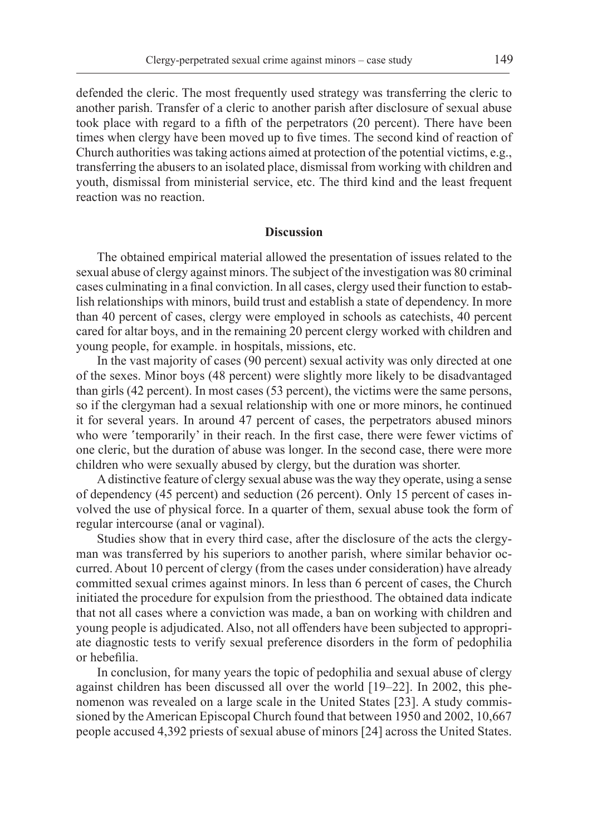defended the cleric. The most frequently used strategy was transferring the cleric to another parish. Transfer of a cleric to another parish after disclosure of sexual abuse took place with regard to a fifth of the perpetrators (20 percent). There have been times when clergy have been moved up to five times. The second kind of reaction of Church authorities was taking actions aimed at protection of the potential victims, e.g., transferring the abusers to an isolated place, dismissal from working with children and youth, dismissal from ministerial service, etc. The third kind and the least frequent reaction was no reaction.

### **Discussion**

The obtained empirical material allowed the presentation of issues related to the sexual abuse of clergy against minors. The subject of the investigation was 80 criminal cases culminating in a final conviction. In all cases, clergy used their function to establish relationships with minors, build trust and establish a state of dependency. In more than 40 percent of cases, clergy were employed in schools as catechists, 40 percent cared for altar boys, and in the remaining 20 percent clergy worked with children and young people, for example. in hospitals, missions, etc.

In the vast majority of cases (90 percent) sexual activity was only directed at one of the sexes. Minor boys (48 percent) were slightly more likely to be disadvantaged than girls (42 percent). In most cases (53 percent), the victims were the same persons, so if the clergyman had a sexual relationship with one or more minors, he continued it for several years. In around 47 percent of cases, the perpetrators abused minors who were 'temporarily' in their reach. In the first case, there were fewer victims of one cleric, but the duration of abuse was longer. In the second case, there were more children who were sexually abused by clergy, but the duration was shorter.

A distinctive feature of clergy sexual abuse was the way they operate, using a sense of dependency (45 percent) and seduction (26 percent). Only 15 percent of cases involved the use of physical force. In a quarter of them, sexual abuse took the form of regular intercourse (anal or vaginal).

Studies show that in every third case, after the disclosure of the acts the clergyman was transferred by his superiors to another parish, where similar behavior occurred. About 10 percent of clergy (from the cases under consideration) have already committed sexual crimes against minors. In less than 6 percent of cases, the Church initiated the procedure for expulsion from the priesthood. The obtained data indicate that not all cases where a conviction was made, a ban on working with children and young people is adjudicated. Also, not all offenders have been subjected to appropriate diagnostic tests to verify sexual preference disorders in the form of pedophilia or hebefilia.

In conclusion, for many years the topic of pedophilia and sexual abuse of clergy against children has been discussed all over the world [19–22]. In 2002, this phenomenon was revealed on a large scale in the United States [23]. A study commissioned by the American Episcopal Church found that between 1950 and 2002, 10,667 people accused 4,392 priests of sexual abuse of minors [24] across the United States.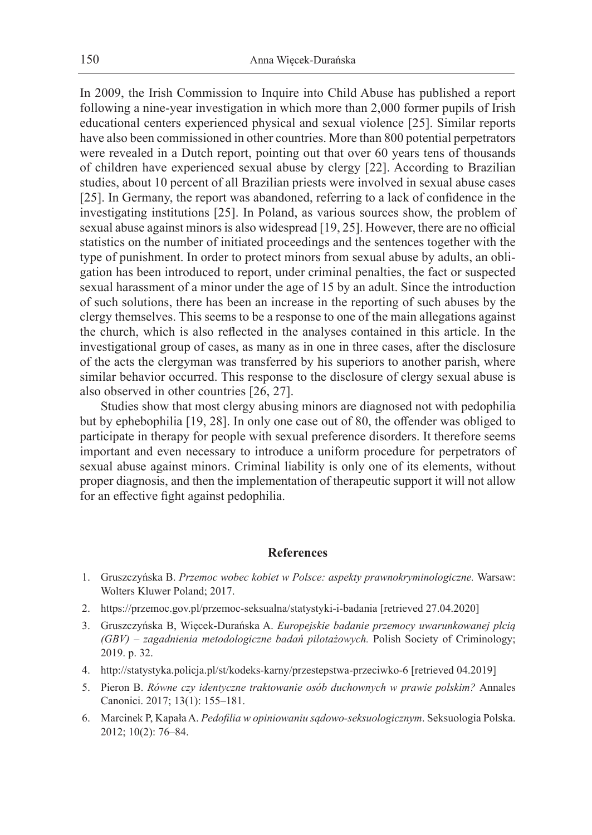In 2009, the Irish Commission to Inquire into Child Abuse has published a report following a nine-year investigation in which more than 2,000 former pupils of Irish educational centers experienced physical and sexual violence [25]. Similar reports have also been commissioned in other countries. More than 800 potential perpetrators were revealed in a Dutch report, pointing out that over 60 years tens of thousands of children have experienced sexual abuse by clergy [22]. According to Brazilian studies, about 10 percent of all Brazilian priests were involved in sexual abuse cases [25]. In Germany, the report was abandoned, referring to a lack of confidence in the investigating institutions [25]. In Poland, as various sources show, the problem of sexual abuse against minors is also widespread [19, 25]. However, there are no official statistics on the number of initiated proceedings and the sentences together with the type of punishment. In order to protect minors from sexual abuse by adults, an obligation has been introduced to report, under criminal penalties, the fact or suspected sexual harassment of a minor under the age of 15 by an adult. Since the introduction of such solutions, there has been an increase in the reporting of such abuses by the clergy themselves. This seems to be a response to one of the main allegations against the church, which is also reflected in the analyses contained in this article. In the investigational group of cases, as many as in one in three cases, after the disclosure of the acts the clergyman was transferred by his superiors to another parish, where similar behavior occurred. This response to the disclosure of clergy sexual abuse is also observed in other countries [26, 27].

Studies show that most clergy abusing minors are diagnosed not with pedophilia but by ephebophilia [19, 28]. In only one case out of 80, the offender was obliged to participate in therapy for people with sexual preference disorders. It therefore seems important and even necessary to introduce a uniform procedure for perpetrators of sexual abuse against minors. Criminal liability is only one of its elements, without proper diagnosis, and then the implementation of therapeutic support it will not allow for an effective fight against pedophilia.

#### **References**

- 1. Gruszczyńska B. *Przemoc wobec kobiet w Polsce: aspekty prawnokryminologiczne.* Warsaw: Wolters Kluwer Poland; 2017.
- 2. https://przemoc.gov.pl/przemoc-seksualna/statystyki-i-badania [retrieved 27.04.2020]
- 3. Gruszczyńska B, Więcek-Durańska A. *Europejskie badanie przemocy uwarunkowanej płcią (GBV) – zagadnienia metodologiczne badań pilotażowych.* Polish Society of Criminology; 2019. p. 32.
- 4. http://statystyka.policja.pl/st/kodeks-karny/przestepstwa-przeciwko-6 [retrieved 04.2019]
- 5. Pieron B. *Równe czy identyczne traktowanie osób duchownych w prawie polskim?* Annales Canonici. 2017; 13(1): 155–181.
- 6. Marcinek P, Kapała A. *Pedofilia w opiniowaniu sądowo-seksuologicznym*. Seksuologia Polska. 2012; 10(2): 76–84.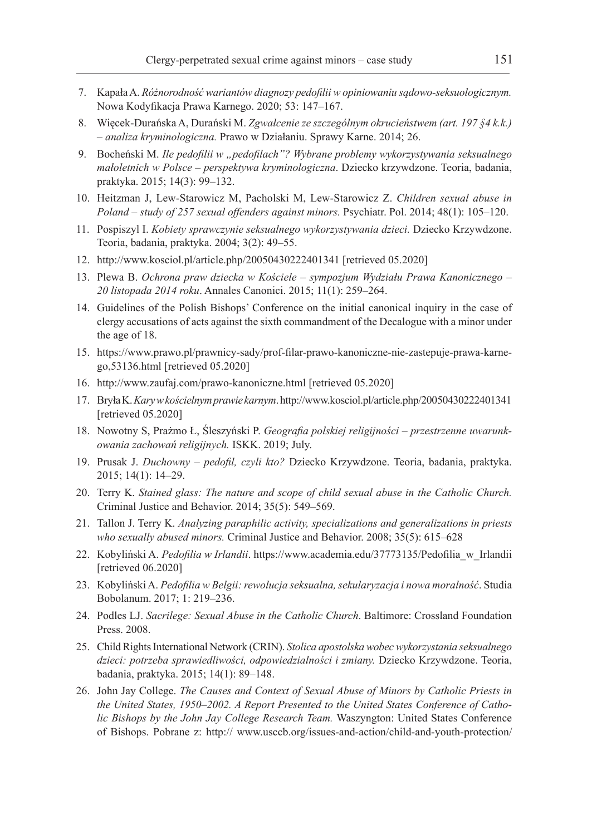- 7. Kapała A. *Różnorodność wariantów diagnozy pedofilii w opiniowaniu sądowo-seksuologicznym.*  Nowa Kodyfikacja Prawa Karnego. 2020; 53: 147–167.
- 8. Więcek-Durańska A, Durański M. *Zgwałcenie ze szczególnym okrucieństwem (art. 197 §4 k.k.) – analiza kryminologiczna.* Prawo w Działaniu. Sprawy Karne. 2014; 26.
- 9. Bocheński M. *Ile pedofilii w "pedofilach"? Wybrane problemy wykorzystywania seksualnego małoletnich w Polsce – perspektywa kryminologiczna*. Dziecko krzywdzone. Teoria, badania, praktyka. 2015; 14(3): 99–132.
- 10. Heitzman J, Lew-Starowicz M, Pacholski M, Lew-Starowicz Z. *Children sexual abuse in Poland – study of 257 sexual offenders against minors.* Psychiatr. Pol. 2014; 48(1): 105–120.
- 11. Pospiszyl I. *Kobiety sprawczynie seksualnego wykorzystywania dzieci.* Dziecko Krzywdzone. Teoria, badania, praktyka. 2004; 3(2): 49–55.
- 12. http://www.kosciol.pl/article.php/20050430222401341 [retrieved 05.2020]
- 13. Plewa B. *Ochrona praw dziecka w Kościele sympozjum Wydziału Prawa Kanonicznego 20 listopada 2014 roku*. Annales Canonici. 2015; 11(1): 259–264.
- 14. Guidelines of the Polish Bishops' Conference on the initial canonical inquiry in the case of clergy accusations of acts against the sixth commandment of the Decalogue with a minor under the age of 18.
- 15. https://www.prawo.pl/prawnicy-sady/prof-filar-prawo-kanoniczne-nie-zastepuje-prawa-karnego,53136.html [retrieved 05.2020]
- 16. http://www.zaufaj.com/prawo-kanoniczne.html [retrieved 05.2020]
- 17. Bryła K. *Kary w kościelnym prawie karnym*. http://www.kosciol.pl/article.php/20050430222401341 [retrieved 05.2020]
- 18. Nowotny S, Prażmo Ł, Śleszyński P. *Geografia polskiej religijności przestrzenne uwarunkowania zachowań religijnych.* ISKK. 2019; July.
- 19. Prusak J. *Duchowny pedofil, czyli kto?* Dziecko Krzywdzone. Teoria, badania, praktyka. 2015; 14(1): 14–29.
- 20. Terry K. *Stained glass: The nature and scope of child sexual abuse in the Catholic Church.*  Criminal Justice and Behavior. 2014; 35(5): 549–569.
- 21. Tallon J. Terry K. *Analyzing paraphilic activity, specializations and generalizations in priests who sexually abused minors.* Criminal Justice and Behavior. 2008; 35(5): 615–628
- 22. Kobyliński A. *Pedofilia w Irlandii*. https://www.academia.edu/37773135/Pedofilia\_w\_Irlandii [retrieved 06.2020]
- 23. Kobyliński A. *Pedofilia w Belgii: rewolucja seksualna, sekularyzacja i nowa moralność*. Studia Bobolanum. 2017; 1: 219–236.
- 24. Podles LJ. *Sacrilege: Sexual Abuse in the Catholic Church*. Baltimore: Crossland Foundation Press. 2008.
- 25. Child Rights International Network (CRIN). *Stolica apostolska wobec wykorzystania seksualnego dzieci: potrzeba sprawiedliwości, odpowiedzialności i zmiany.* Dziecko Krzywdzone. Teoria, badania, praktyka. 2015; 14(1): 89–148.
- 26. John Jay College. *The Causes and Context of Sexual Abuse of Minors by Catholic Priests in the United States, 1950–2002. A Report Presented to the United States Conference of Catholic Bishops by the John Jay College Research Team.* Waszyngton: United States Conference of Bishops. Pobrane z: http:// www.usccb.org/issues-and-action/child-and-youth-protection/